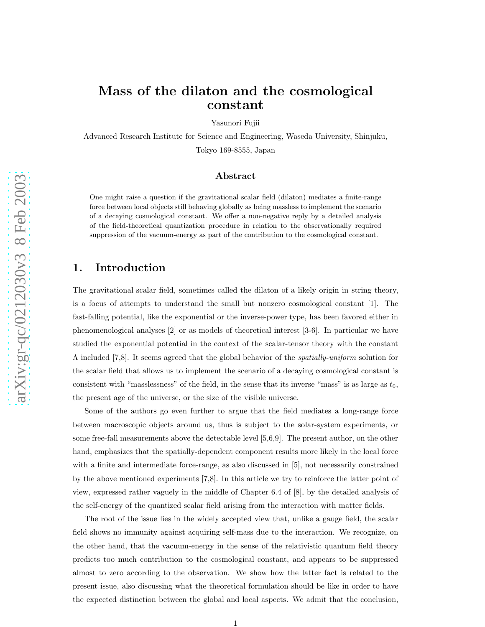# Mass of the dilaton and the cosmological constant

Yasunori Fujii

Advanced Research Institute for Science and Engineering, Waseda University, Shinjuku, Tokyo 169-8555, Japan

#### Abstract

One might raise a question if the gravitational scalar field (dilaton) mediates a finite-range force between local objects still behaving globally as being massless to implement the scenario of a decaying cosmological constant. We offer a non-negative reply by a detailed analysis of the field-theoretical quantization procedure in relation to the observationally required suppression of the vacuum-energy as part of the contribution to the cosmological constant.

#### 1. Introduction

The gravitational scalar field, sometimes called the dilaton of a likely origin in string theory, is a focus of attempts to understand the small but nonzero cosmological constant [1]. The fast-falling potential, like the exponential or the inverse-power type, has been favored either in phenomenological analyses [2] or as models of theoretical interest [3-6]. In particular we have studied the exponential potential in the context of the scalar-tensor theory with the constant Λ included [7,8]. It seems agreed that the global behavior of the spatially-uniform solution for the scalar field that allows us to implement the scenario of a decaying cosmological constant is consistent with "masslessness" of the field, in the sense that its inverse "mass" is as large as  $t_0$ , the present age of the universe, or the size of the visible universe.

Some of the authors go even further to argue that the field mediates a long-range force between macroscopic objects around us, thus is subject to the solar-system experiments, or some free-fall measurements above the detectable level [5,6,9]. The present author, on the other hand, emphasizes that the spatially-dependent component results more likely in the local force with a finite and intermediate force-range, as also discussed in [5], not necessarily constrained by the above mentioned experiments [7,8]. In this article we try to reinforce the latter point of view, expressed rather vaguely in the middle of Chapter 6.4 of [8], by the detailed analysis of the self-energy of the quantized scalar field arising from the interaction with matter fields.

The root of the issue lies in the widely accepted view that, unlike a gauge field, the scalar field shows no immunity against acquiring self-mass due to the interaction. We recognize, on the other hand, that the vacuum-energy in the sense of the relativistic quantum field theory predicts too much contribution to the cosmological constant, and appears to be suppressed almost to zero according to the observation. We show how the latter fact is related to the present issue, also discussing what the theoretical formulation should be like in order to have the expected distinction between the global and local aspects. We admit that the conclusion,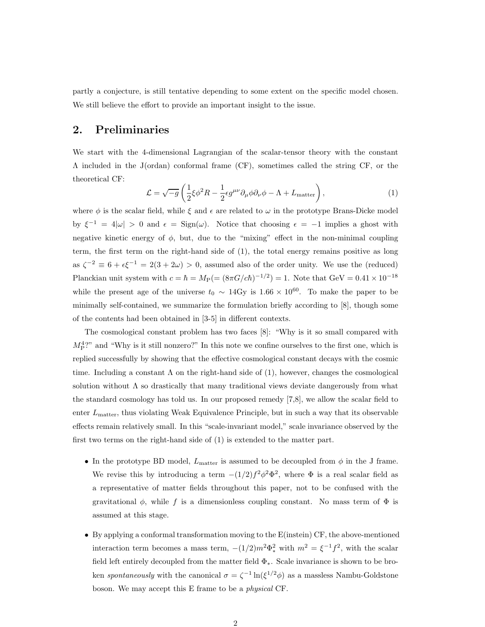partly a conjecture, is still tentative depending to some extent on the specific model chosen. We still believe the effort to provide an important insight to the issue.

# 2. Preliminaries

We start with the 4-dimensional Lagrangian of the scalar-tensor theory with the constant Λ included in the J(ordan) conformal frame (CF), sometimes called the string CF, or the theoretical CF:

$$
\mathcal{L} = \sqrt{-g} \left( \frac{1}{2} \xi \phi^2 R - \frac{1}{2} \epsilon g^{\mu \nu} \partial_{\mu} \phi \partial_{\nu} \phi - \Lambda + L_{\text{matter}} \right), \tag{1}
$$

where  $\phi$  is the scalar field, while  $\xi$  and  $\epsilon$  are related to  $\omega$  in the prototype Brans-Dicke model by  $\xi^{-1} = 4|\omega| > 0$  and  $\epsilon = \text{Sign}(\omega)$ . Notice that choosing  $\epsilon = -1$  implies a ghost with negative kinetic energy of  $\phi$ , but, due to the "mixing" effect in the non-minimal coupling term, the first term on the right-hand side of (1), the total energy remains positive as long as  $\zeta^{-2} \equiv 6 + \epsilon \xi^{-1} = 2(3 + 2\omega) > 0$ , assumed also of the order unity. We use the (reduced) Planckian unit system with  $c = \hbar = M_{\rm P} = (8\pi G/c\hbar)^{-1/2} = 1$ . Note that  $\text{GeV} = 0.41 \times 10^{-18}$ while the present age of the universe  $t_0 \sim 14 \text{Gy}$  is  $1.66 \times 10^{60}$ . To make the paper to be minimally self-contained, we summarize the formulation briefly according to [8], though some of the contents had been obtained in [3-5] in different contexts.

The cosmological constant problem has two faces [8]: "Why is it so small compared with  $M_P^4$ ?" and "Why is it still nonzero?" In this note we confine ourselves to the first one, which is replied successfully by showing that the effective cosmological constant decays with the cosmic time. Including a constant  $\Lambda$  on the right-hand side of (1), however, changes the cosmological solution without  $\Lambda$  so drastically that many traditional views deviate dangerously from what the standard cosmology has told us. In our proposed remedy [7,8], we allow the scalar field to enter  $L_{\text{matter}}$ , thus violating Weak Equivalence Principle, but in such a way that its observable effects remain relatively small. In this "scale-invariant model," scale invariance observed by the first two terms on the right-hand side of (1) is extended to the matter part.

- In the prototype BD model,  $L_{\text{matter}}$  is assumed to be decoupled from  $\phi$  in the J frame. We revise this by introducing a term  $-(1/2)f^2\phi^2\Phi^2$ , where  $\Phi$  is a real scalar field as a representative of matter fields throughout this paper, not to be confused with the gravitational  $\phi$ , while f is a dimensionless coupling constant. No mass term of  $\Phi$  is assumed at this stage.
- By applying a conformal transformation moving to the E(instein) CF, the above-mentioned interaction term becomes a mass term,  $-(1/2)m^2\Phi_*^2$  with  $m^2 = \xi^{-1}f^2$ , with the scalar field left entirely decoupled from the matter field  $Φ<sub>*</sub>$ . Scale invariance is shown to be broken spontaneously with the canonical  $\sigma = \zeta^{-1} \ln(\xi^{1/2} \phi)$  as a massless Nambu-Goldstone boson. We may accept this E frame to be a physical CF.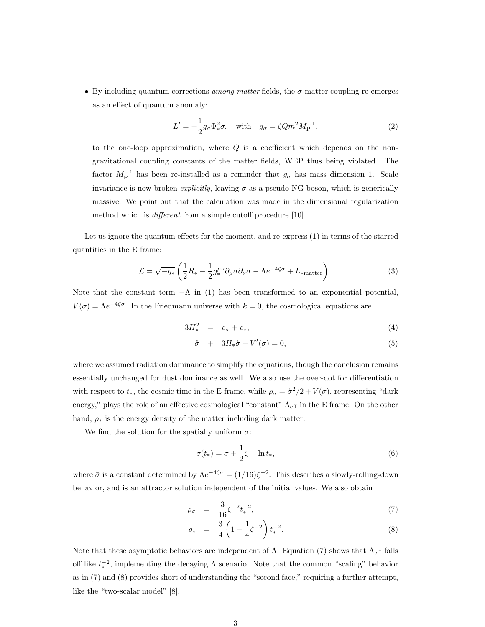• By including quantum corrections among matter fields, the  $\sigma$ -matter coupling re-emerges as an effect of quantum anomaly:

$$
L' = -\frac{1}{2}g_{\sigma}\Phi_*^2 \sigma, \quad \text{with} \quad g_{\sigma} = \zeta Q m^2 M_P^{-1}, \tag{2}
$$

to the one-loop approximation, where  $Q$  is a coefficient which depends on the nongravitational coupling constants of the matter fields, WEP thus being violated. The factor  $M_{\rm P}^{-1}$  has been re-installed as a reminder that  $g_{\sigma}$  has mass dimension 1. Scale invariance is now broken *explicitly*, leaving  $\sigma$  as a pseudo NG boson, which is generically massive. We point out that the calculation was made in the dimensional regularization method which is *different* from a simple cutoff procedure [10].

Let us ignore the quantum effects for the moment, and re-express (1) in terms of the starred quantities in the E frame:

$$
\mathcal{L} = \sqrt{-g_*} \left( \frac{1}{2} R_* - \frac{1}{2} g_*^{\mu \nu} \partial_{\mu} \sigma \partial_{\nu} \sigma - \Lambda e^{-4\zeta \sigma} + L_{\text{matter}} \right). \tag{3}
$$

Note that the constant term  $-\Lambda$  in (1) has been transformed to an exponential potential,  $V(\sigma) = \Lambda e^{-4\zeta\sigma}$ . In the Friedmann universe with  $k = 0$ , the cosmological equations are

$$
3H_*^2 = \rho_\sigma + \rho_*,\tag{4}
$$

$$
\ddot{\sigma} + 3H_*\dot{\sigma} + V'(\sigma) = 0,\tag{5}
$$

where we assumed radiation dominance to simplify the equations, though the conclusion remains essentially unchanged for dust dominance as well. We also use the over-dot for differentiation with respect to  $t_*$ , the cosmic time in the E frame, while  $\rho_{\sigma} = \dot{\sigma}^2/2 + V(\sigma)$ , representing "dark" energy," plays the role of an effective cosmological "constant"  $\Lambda_{\text{eff}}$  in the E frame. On the other hand,  $\rho_*$  is the energy density of the matter including dark matter.

We find the solution for the spatially uniform  $\sigma$ :

$$
\sigma(t_*) = \bar{\sigma} + \frac{1}{2}\zeta^{-1}\ln t_*,\tag{6}
$$

where  $\bar{\sigma}$  is a constant determined by  $\Lambda e^{-4\zeta\bar{\sigma}} = (1/16)\zeta^{-2}$ . This describes a slowly-rolling-down behavior, and is an attractor solution independent of the initial values. We also obtain

$$
\rho_{\sigma} = \frac{3}{16} \zeta^{-2} t_*^{-2}, \tag{7}
$$

$$
\rho_* = \frac{3}{4} \left( 1 - \frac{1}{4} \zeta^{-2} \right) t_*^{-2}.
$$
\n(8)

Note that these asymptotic behaviors are independent of  $\Lambda$ . Equation (7) shows that  $\Lambda_{\text{eff}}$  falls off like  $t_*^{-2}$ , implementing the decaying  $\Lambda$  scenario. Note that the common "scaling" behavior as in (7) and (8) provides short of understanding the "second face," requiring a further attempt, like the "two-scalar model" [8].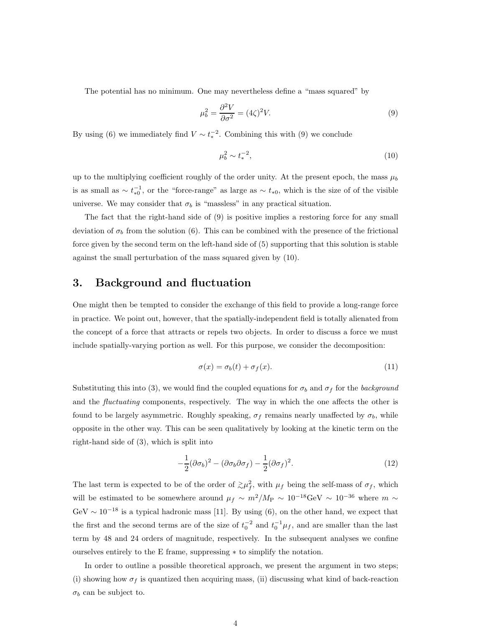The potential has no minimum. One may nevertheless define a "mass squared" by

$$
\mu_b^2 = \frac{\partial^2 V}{\partial \sigma^2} = (4\zeta)^2 V. \tag{9}
$$

By using (6) we immediately find  $V \sim t_*^{-2}$ . Combining this with (9) we conclude

$$
\mu_b^2 \sim t_*^{-2},\tag{10}
$$

up to the multiplying coefficient roughly of the order unity. At the present epoch, the mass  $\mu_b$ is as small as  $\sim t_{*0}^{-1}$ , or the "force-range" as large as  $\sim t_{*0}$ , which is the size of of the visible universe. We may consider that  $\sigma_b$  is "massless" in any practical situation.

The fact that the right-hand side of (9) is positive implies a restoring force for any small deviation of  $\sigma_b$  from the solution (6). This can be combined with the presence of the frictional force given by the second term on the left-hand side of (5) supporting that this solution is stable against the small perturbation of the mass squared given by (10).

## 3. Background and fluctuation

One might then be tempted to consider the exchange of this field to provide a long-range force in practice. We point out, however, that the spatially-independent field is totally alienated from the concept of a force that attracts or repels two objects. In order to discuss a force we must include spatially-varying portion as well. For this purpose, we consider the decomposition:

$$
\sigma(x) = \sigma_b(t) + \sigma_f(x). \tag{11}
$$

Substituting this into (3), we would find the coupled equations for  $\sigma_b$  and  $\sigma_f$  for the background and the *fluctuating* components, respectively. The way in which the one affects the other is found to be largely asymmetric. Roughly speaking,  $\sigma_f$  remains nearly unaffected by  $\sigma_b$ , while opposite in the other way. This can be seen qualitatively by looking at the kinetic term on the right-hand side of (3), which is split into

$$
-\frac{1}{2}(\partial \sigma_b)^2 - (\partial \sigma_b \partial \sigma_f) - \frac{1}{2}(\partial \sigma_f)^2.
$$
 (12)

The last term is expected to be of the order of  $\gtrsim \mu_f^2$  $f_f^2$ , with  $\mu_f$  being the self-mass of  $\sigma_f$ , which will be estimated to be somewhere around  $\mu_f \sim m^2/M_P \sim 10^{-18} \text{GeV} \sim 10^{-36}$  where  $m \sim$  $GeV \sim 10^{-18}$  is a typical hadronic mass [11]. By using (6), on the other hand, we expect that the first and the second terms are of the size of  $t_0^{-2}$  and  $t_0^{-1}\mu_f$ , and are smaller than the last term by 48 and 24 orders of magnitude, respectively. In the subsequent analyses we confine ourselves entirely to the E frame, suppressing ∗ to simplify the notation.

In order to outline a possible theoretical approach, we present the argument in two steps; (i) showing how  $\sigma_f$  is quantized then acquiring mass, (ii) discussing what kind of back-reaction  $\sigma_b$  can be subject to.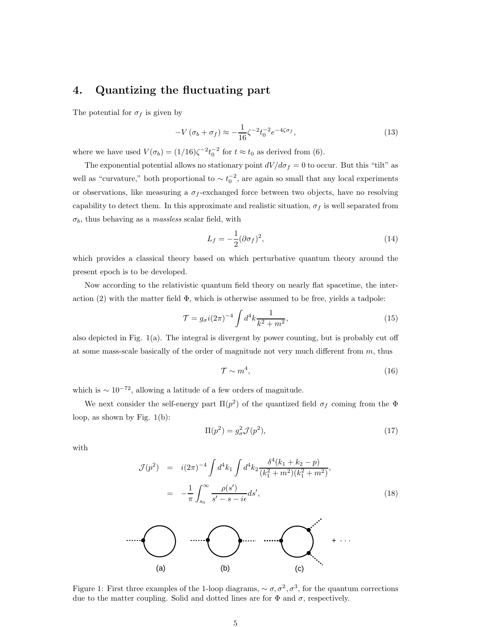# 4. Quantizing the fluctuating part

The potential for  $\sigma_f$  is given by

$$
-V\left(\sigma_b + \sigma_f\right) \approx -\frac{1}{16}\zeta^{-2}t_0^{-2}e^{-4\zeta\sigma_f},\tag{13}
$$

where we have used  $V(\sigma_b) = (1/16)\zeta^{-2}t_0^{-2}$  for  $t \approx t_0$  as derived from (6).

The exponential potential allows no stationary point  $dV/d\sigma_f = 0$  to occur. But this "tilt" as well as "curvature," both proportional to  $\sim t_0^{-2}$ , are again so small that any local experiments or observations, like measuring a  $\sigma_f$ -exchanged force between two objects, have no resolving capability to detect them. In this approximate and realistic situation,  $\sigma_f$  is well separated from  $\sigma_b$ , thus behaving as a *massless* scalar field, with

$$
L_f = -\frac{1}{2} (\partial \sigma_f)^2,\tag{14}
$$

which provides a classical theory based on which perturbative quantum theory around the present epoch is to be developed.

Now according to the relativistic quantum field theory on nearly flat spacetime, the interaction (2) with the matter field  $\Phi$ , which is otherwise assumed to be free, yields a tadpole:

$$
\mathcal{T} = g_{\sigma} i (2\pi)^{-4} \int d^4 k \frac{1}{k^2 + m^2},\tag{15}
$$

also depicted in Fig. 1(a). The integral is divergent by power counting, but is probably cut off at some mass-scale basically of the order of magnitude not very much different from  $m$ , thus

$$
\mathcal{T} \sim m^4,\tag{16}
$$

which is  $\sim 10^{-72}$ , allowing a latitude of a few orders of magnitude.

We next consider the self-energy part  $\Pi(p^2)$  of the quantized field  $\sigma_f$  coming from the  $\Phi$ loop, as shown by Fig. 1(b):

$$
\Pi(p^2) = g^2_{\sigma} \mathcal{J}(p^2),\tag{17}
$$

with

$$
\mathcal{J}(p^2) = i(2\pi)^{-4} \int d^4k_1 \int d^4k_2 \frac{\delta^4(k_1 + k_2 - p)}{(k_1^2 + m^2)(k_1^2 + m^2)},
$$
  

$$
= -\frac{1}{\pi} \int_{s_0}^{\infty} \frac{\rho(s')}{s' - s - i\epsilon} ds',
$$
 (18)



Figure 1: First three examples of the 1-loop diagrams,  $\sim \sigma, \sigma^2, \sigma^3$ , for the quantum corrections due to the matter coupling. Solid and dotted lines are for  $\Phi$  and  $\sigma$ , respectively.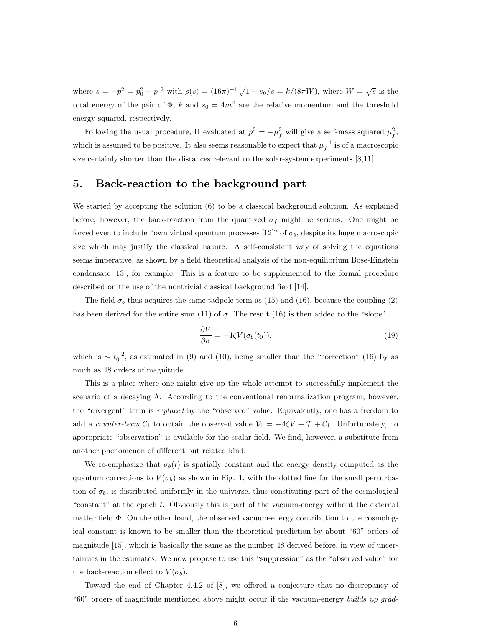where  $s = -p^2 = p_0^2 - \vec{p}^2$  with  $\rho(s) = (16\pi)^{-1}\sqrt{1 - s_0/s} = k/(8\pi W)$ , where  $W = \sqrt{s}$  is the total energy of the pair of  $\Phi$ , k and  $s_0 = 4m^2$  are the relative momentum and the threshold energy squared, respectively.

Following the usual procedure,  $\Pi$  evaluated at  $p^2 = -\mu_f^2$  will give a self-mass squared  $\mu_f^2$ ,<br>f, which is assumed to be positive. It also seems reasonable to expect that  $\mu_f^{-1}$  $f^{-1}$  is of a macroscopic size certainly shorter than the distances relevant to the solar-system experiments [8,11].

#### 5. Back-reaction to the background part

We started by accepting the solution (6) to be a classical background solution. As explained before, however, the back-reaction from the quantized  $\sigma_f$  might be serious. One might be forced even to include "own virtual quantum processes [12]" of  $\sigma_b$ , despite its huge macroscopic size which may justify the classical nature. A self-consistent way of solving the equations seems imperative, as shown by a field theoretical analysis of the non-equilibrium Bose-Einstein condensate [13], for example. This is a feature to be supplemented to the formal procedure described on the use of the nontrivial classical background field [14].

The field  $\sigma_b$  thus acquires the same tadpole term as (15) and (16), because the coupling (2) has been derived for the entire sum (11) of  $\sigma$ . The result (16) is then added to the "slope"

$$
\frac{\partial V}{\partial \sigma} = -4\zeta V(\sigma_b(t_0)),\tag{19}
$$

which is  $\sim t_0^{-2}$ , as estimated in (9) and (10), being smaller than the "correction" (16) by as much as 48 orders of magnitude.

This is a place where one might give up the whole attempt to successfully implement the scenario of a decaying  $\Lambda$ . According to the conventional renormalization program, however, the "divergent" term is replaced by the "observed" value. Equivalently, one has a freedom to add a *counter-term*  $C_1$  to obtain the observed value  $V_1 = -4\zeta V + \mathcal{T} + C_1$ . Unfortunately, no appropriate "observation" is available for the scalar field. We find, however, a substitute from another phenomenon of different but related kind.

We re-emphasize that  $\sigma_b(t)$  is spatially constant and the energy density computed as the quantum corrections to  $V(\sigma_b)$  as shown in Fig. 1, with the dotted line for the small perturbation of  $\sigma_b$ , is distributed uniformly in the universe, thus constituting part of the cosmological "constant" at the epoch t. Obviously this is part of the vacuum-energy without the external matter field  $\Phi$ . On the other hand, the observed vacuum-energy contribution to the cosmological constant is known to be smaller than the theoretical prediction by about "60" orders of magnitude [15], which is basically the same as the number 48 derived before, in view of uncertainties in the estimates. We now propose to use this "suppression" as the "observed value" for the back-reaction effect to  $V(\sigma_b)$ .

Toward the end of Chapter 4.4.2 of [8], we offered a conjecture that no discrepancy of "60" orders of magnitude mentioned above might occur if the vacuum-energy builds up grad-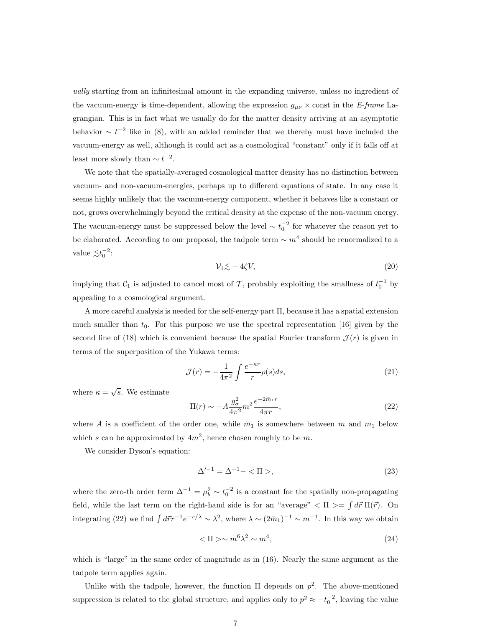ually starting from an infinitesimal amount in the expanding universe, unless no ingredient of the vacuum-energy is time-dependent, allowing the expression  $g_{\mu\nu} \times$  const in the E-frame Lagrangian. This is in fact what we usually do for the matter density arriving at an asymptotic behavior  $\sim t^{-2}$  like in (8), with an added reminder that we thereby must have included the vacuum-energy as well, although it could act as a cosmological "constant" only if it falls off at least more slowly than  $\sim t^{-2}$ .

We note that the spatially-averaged cosmological matter density has no distinction between vacuum- and non-vacuum-energies, perhaps up to different equations of state. In any case it seems highly unlikely that the vacuum-energy component, whether it behaves like a constant or not, grows overwhelmingly beyond the critical density at the expense of the non-vacuum energy. The vacuum-energy must be suppressed below the level  $\sim t_0^{-2}$  for whatever the reason yet to be elaborated. According to our proposal, the tadpole term  $\sim m^4$  should be renormalized to a value  $\lesssim t_0^{-2}$ :

$$
\mathcal{V}_1 \lesssim -4\zeta V,\tag{20}
$$

implying that  $C_1$  is adjusted to cancel most of  $\mathcal{T}$ , probably exploiting the smallness of  $t_0^{-1}$  by appealing to a cosmological argument.

A more careful analysis is needed for the self-energy part Π, because it has a spatial extension much smaller than  $t_0$ . For this purpose we use the spectral representation [16] given by the second line of (18) which is convenient because the spatial Fourier transform  $\mathcal{J}(r)$  is given in terms of the superposition of the Yukawa terms:

$$
\mathcal{J}(r) = -\frac{1}{4\pi^2} \int \frac{e^{-\kappa r}}{r} \rho(s) ds,
$$
\n(21)

where  $\kappa = \sqrt{s}$ . We estimate

$$
\Pi(r) \sim -A \frac{g_{\sigma}^{2}}{4\pi^{2}} m^{2} \frac{e^{-2\bar{m}_{1}r}}{4\pi r},
$$
\n(22)

where A is a coefficient of the order one, while  $\bar{m}_1$  is somewhere between m and  $m_1$  below which s can be approximated by  $4m^2$ , hence chosen roughly to be m.

We consider Dyson's equation:

$$
\Delta'^{-1} = \Delta^{-1} - \langle \Pi \rangle, \tag{23}
$$

where the zero-th order term  $\Delta^{-1} = \mu_b^2 \sim t_0^{-2}$  is a constant for the spatially non-propagating field, while the last term on the right-hand side is for an "average"  $\langle \Pi \rangle = \int d\vec{r} \Pi(\vec{r})$ . On integrating (22) we find  $\int d\vec{r}r^{-1}e^{-r/\lambda} \sim \lambda^2$ , where  $\lambda \sim (2\bar{m}_1)^{-1} \sim m^{-1}$ . In this way we obtain

$$
\langle \Pi \rangle \sim m^6 \lambda^2 \sim m^4,\tag{24}
$$

which is "large" in the same order of magnitude as in (16). Nearly the same argument as the tadpole term applies again.

Unlike with the tadpole, however, the function  $\Pi$  depends on  $p^2$ . The above-mentioned suppression is related to the global structure, and applies only to  $p^2 \approx -t_0^{-2}$ , leaving the value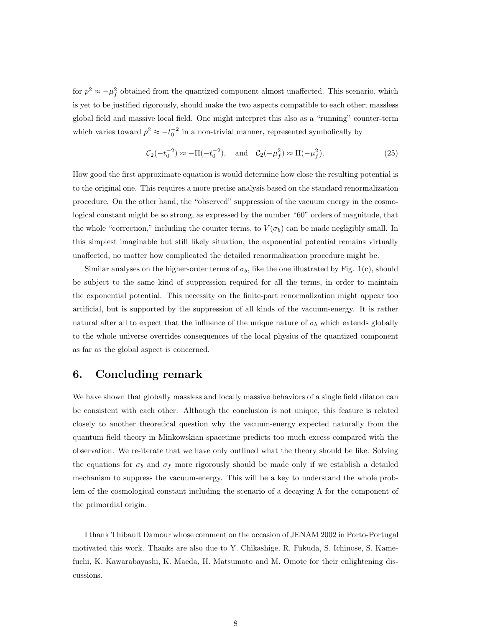for  $p^2 \approx -\mu_f^2$  $\frac{2}{f}$  obtained from the quantized component almost unaffected. This scenario, which is yet to be justified rigorously, should make the two aspects compatible to each other; massless global field and massive local field. One might interpret this also as a "running" counter-term which varies toward  $p^2 \approx -t_0^{-2}$  in a non-trivial manner, represented symbolically by

$$
C_2(-t_0^{-2}) \approx -\Pi(-t_0^{-2}), \text{ and } C_2(-\mu_f^2) \approx \Pi(-\mu_f^2). \tag{25}
$$

How good the first approximate equation is would determine how close the resulting potential is to the original one. This requires a more precise analysis based on the standard renormalization procedure. On the other hand, the "observed" suppression of the vacuum energy in the cosmological constant might be so strong, as expressed by the number "60" orders of magnitude, that the whole "correction," including the counter terms, to  $V(\sigma_b)$  can be made negligibly small. In this simplest imaginable but still likely situation, the exponential potential remains virtually unaffected, no matter how complicated the detailed renormalization procedure might be.

Similar analyses on the higher-order terms of  $\sigma_b$ , like the one illustrated by Fig. 1(c), should be subject to the same kind of suppression required for all the terms, in order to maintain the exponential potential. This necessity on the finite-part renormalization might appear too artificial, but is supported by the suppression of all kinds of the vacuum-energy. It is rather natural after all to expect that the influence of the unique nature of  $\sigma_b$  which extends globally to the whole universe overrides consequences of the local physics of the quantized component as far as the global aspect is concerned.

#### 6. Concluding remark

We have shown that globally massless and locally massive behaviors of a single field dilaton can be consistent with each other. Although the conclusion is not unique, this feature is related closely to another theoretical question why the vacuum-energy expected naturally from the quantum field theory in Minkowskian spacetime predicts too much excess compared with the observation. We re-iterate that we have only outlined what the theory should be like. Solving the equations for  $\sigma_b$  and  $\sigma_f$  more rigorously should be made only if we establish a detailed mechanism to suppress the vacuum-energy. This will be a key to understand the whole problem of the cosmological constant including the scenario of a decaying  $\Lambda$  for the component of the primordial origin.

I thank Thibault Damour whose comment on the occasion of JENAM 2002 in Porto-Portugal motivated this work. Thanks are also due to Y. Chikashige, R. Fukuda, S. Ichinose, S. Kamefuchi, K. Kawarabayashi, K. Maeda, H. Matsumoto and M. Omote for their enlightening discussions.